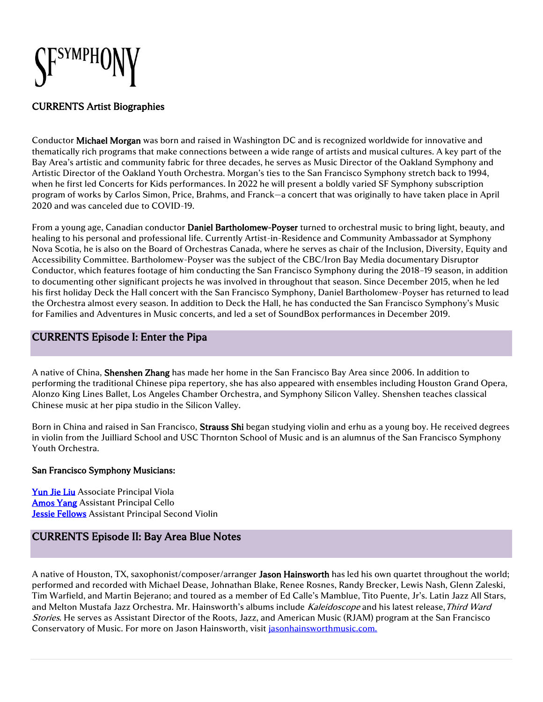

### CURRENTS Artist Biographies

Conductor Michael Morgan was born and raised in Washington DC and is recognized worldwide for innovative and thematically rich programs that make connections between a wide range of artists and musical cultures. A key part of the Bay Area's artistic and community fabric for three decades, he serves as Music Director of the Oakland Symphony and Artistic Director of the Oakland Youth Orchestra. Morgan's ties to the San Francisco Symphony stretch back to 1994, when he first led Concerts for Kids performances. In 2022 he will present a boldly varied SF Symphony subscription program of works by Carlos Simon, Price, Brahms, and Franck—a concert that was originally to have taken place in April 2020 and was canceled due to COVID-19.

From a young age, Canadian conductor Daniel Bartholomew-Poyser turned to orchestral music to bring light, beauty, and healing to his personal and professional life. Currently Artist-in-Residence and Community Ambassador at Symphony Nova Scotia, he is also on the Board of Orchestras Canada, where he serves as chair of the Inclusion, Diversity, Equity and Accessibility Committee. Bartholomew-Poyser was the subject of the CBC/Iron Bay Media documentary Disruptor Conductor, which features footage of him conducting the San Francisco Symphony during the 2018–19 season, in addition to documenting other significant projects he was involved in throughout that season. Since December 2015, when he led his first holiday Deck the Hall concert with the San Francisco Symphony, Daniel Bartholomew-Poyser has returned to lead the Orchestra almost every season. In addition to Deck the Hall, he has conducted the San Francisco Symphony's Music for Families and Adventures in Music concerts, and led a set of SoundBox performances in December 2019.

## CURRENTS Episode I: Enter the Pipa

A native of China, Shenshen Zhang has made her home in the San Francisco Bay Area since 2006. In addition to performing the traditional Chinese pipa repertory, she has also appeared with ensembles including Houston Grand Opera, Alonzo King Lines Ballet, Los Angeles Chamber Orchestra, and Symphony Silicon Valley. Shenshen teaches classical Chinese music at her pipa studio in the Silicon Valley.

Born in China and raised in San Francisco, Strauss Shi began studying violin and erhu as a young boy. He received degrees in violin from the Juilliard School and USC Thornton School of Music and is an alumnus of the San Francisco Symphony Youth Orchestra.

### San Francisco Symphony Musicians:

[Yun Jie Liu](https://www.sfsymphony.org/Data/Event-Data/Artists/L/Yun-Jie-Liu) Associate Principal Viola [Amos Yang](https://www.sfsymphony.org/Data/Event-Data/Artists/Y/Amos-Yang) Assistant Principal Cello **Jessie Fellows** Assistant Principal Second Violin

# CURRENTS Episode II: Bay Area Blue Notes

A native of Houston, TX, saxophonist/composer/arranger Jason Hainsworth has led his own quartet throughout the world; performed and recorded with Michael Dease, Johnathan Blake, Renee Rosnes, Randy Brecker, Lewis Nash, Glenn Zaleski, Tim Warfield, and Martin Bejerano; and toured as a member of Ed Calle's Mamblue, Tito Puente, Jr's. Latin Jazz All Stars, and Melton Mustafa Jazz Orchestra. Mr. Hainsworth's albums include Kaleidoscope and his latest release, Third Ward Stories. He serves as Assistant Director of the Roots, Jazz, and American Music (RJAM) program at the San Francisco Conservatory of Music. For more on Jason Hainsworth, visit [jasonhainsworthmusic.com.](http://www.jasonhainsworthmusic.com/)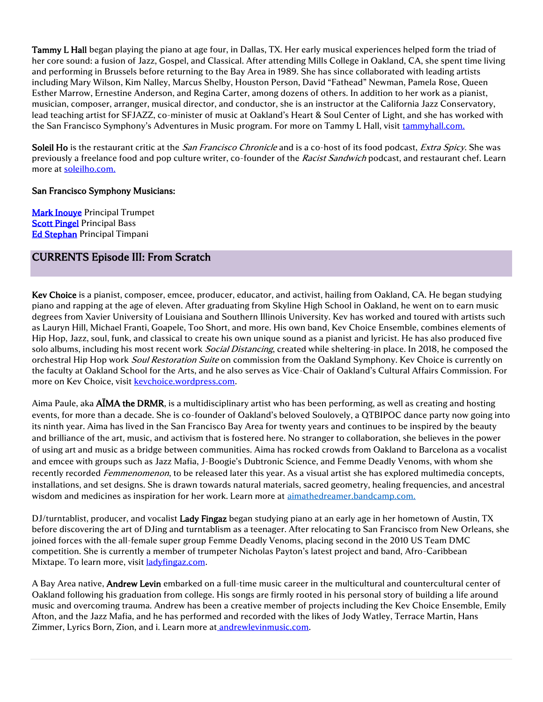Tammy L Hall began playing the piano at age four, in Dallas, TX. Her early musical experiences helped form the triad of her core sound: a fusion of Jazz, Gospel, and Classical. After attending Mills College in Oakland, CA, she spent time living and performing in Brussels before returning to the Bay Area in 1989. She has since collaborated with leading artists including Mary Wilson, Kim Nalley, Marcus Shelby, Houston Person, David "Fathead" Newman, Pamela Rose, Queen Esther Marrow, Ernestine Anderson, and Regina Carter, among dozens of others. In addition to her work as a pianist, musician, composer, arranger, musical director, and conductor, she is an instructor at the California Jazz Conservatory, lead teaching artist for SFJAZZ, co-minister of music at Oakland's Heart & Soul Center of Light, and she has worked with the San Francisco Symphony's Adventures in Music program. For more on Tammy L Hall, visit [tammyhall.com.](http://www.tammyhall.com/)

Soleil Ho is the restaurant critic at the *San Francisco Chronicle* and is a co-host of its food podcast, *Extra Spicy*. She was previously a freelance food and pop culture writer, co-founder of the Racist Sandwich podcast, and restaurant chef. Learn more at [soleilho.com.](https://soleilho.com/) 

### San Francisco Symphony Musicians:

**Mark Inouve Principal Trumpet [Scott Pingel](https://www.sfsymphony.org/Data/Event-Data/Artists/P/Scott-Pingel) Principal Bass** [Ed Stephan](https://www.sfsymphony.org/Data/Event-Data/Artists/S/Ed-Stephan) Principal Timpani

## CURRENTS Episode III: From Scratch

Kev Choice is a pianist, composer, emcee, producer, educator, and activist, hailing from Oakland, CA. He began studying piano and rapping at the age of eleven. After graduating from Skyline High School in Oakland, he went on to earn music degrees from Xavier University of Louisiana and Southern Illinois University. Kev has worked and toured with artists such as Lauryn Hill, Michael Franti, Goapele, Too Short, and more. His own band, Kev Choice Ensemble, combines elements of Hip Hop, Jazz, soul, funk, and classical to create his own unique sound as a pianist and lyricist. He has also produced five solo albums, including his most recent work Social Distancing, created while sheltering-in place. In 2018, he composed the orchestral Hip Hop work Soul Restoration Suite on commission from the Oakland Symphony. Key Choice is currently on the faculty at Oakland School for the Arts, and he also serves as Vice-Chair of Oakland's Cultural Affairs Commission. For more on Kev Choice, visit **keychoice**.wordpress.com.

Aima Paule, aka **AIMA the DRMR**, is a multidisciplinary artist who has been performing, as well as creating and hosting events, for more than a decade. She is co-founder of Oakland's beloved Soulovely, a QTBIPOC dance party now going into its ninth year. Aima has lived in the San Francisco Bay Area for twenty years and continues to be inspired by the beauty and brilliance of the art, music, and activism that is fostered here. No stranger to collaboration, she believes in the power of using art and music as a bridge between communities. Aima has rocked crowds from Oakland to Barcelona as a vocalist and emcee with groups such as Jazz Mafia, J-Boogie's Dubtronic Science, and Femme Deadly Venoms, with whom she recently recorded Femmenomenon, to be released later this year. As a visual artist she has explored multimedia concepts, installations, and set designs. She is drawn towards natural materials, sacred geometry, healing frequencies, and ancestral wisdom and medicines as inspiration for her work. Learn more at [aimathedreamer.bandcamp.com.](https://aimathedreamer.bandcamp.com/)

DJ/turntablist, producer, and vocalist Lady Fingaz began studying piano at an early age in her hometown of Austin, TX before discovering the art of DJing and turntablism as a teenager. After relocating to San Francisco from New Orleans, she joined forces with the all-female super group Femme Deadly Venoms, placing second in the 2010 US Team DMC competition. She is currently a member of trumpeter Nicholas Payton's latest project and band, Afro-Caribbean Mixtape. To learn more, visit **[ladyfingaz.com.](http://ladyfingaz.com/)** 

A Bay Area native, Andrew Levin embarked on a full-time music career in the multicultural and countercultural center of Oakland following his graduation from college. His songs are firmly rooted in his personal story of building a life around music and overcoming trauma. Andrew has been a creative member of projects including the Kev Choice Ensemble, Emily Afton, and the Jazz Mafia, and he has performed and recorded with the likes of Jody Watley, Terrace Martin, Hans Zimmer, Lyrics Born, Zion, and i. Learn more at andrewlevinmusic.com.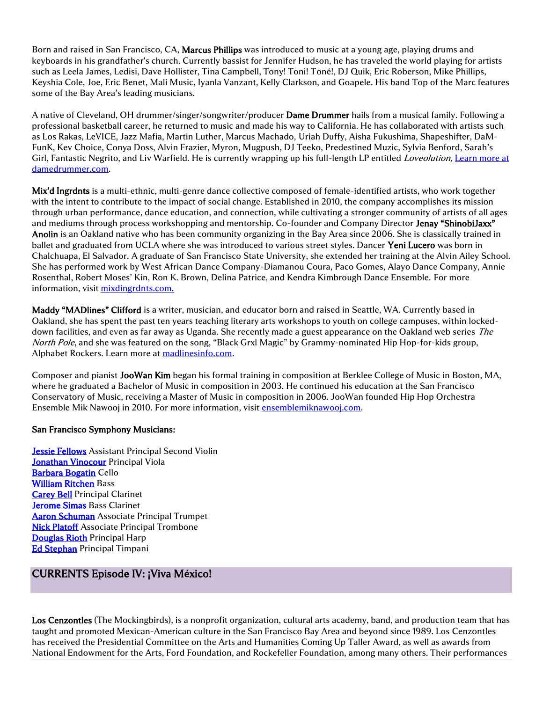Born and raised in San Francisco, CA, Marcus Phillips was introduced to music at a young age, playing drums and keyboards in his grandfather's church. Currently bassist for Jennifer Hudson, he has traveled the world playing for artists such as Leela James, Ledisi, Dave Hollister, Tina Campbell, Tony! Toni! Toné!, DJ Quik, Eric Roberson, Mike Phillips, Keyshia Cole, Joe, Eric Benet, Mali Music, Iyanla Vanzant, Kelly Clarkson, and Goapele. His band Top of the Marc features some of the Bay Area's leading musicians.

A native of Cleveland, OH drummer/singer/songwriter/producer Dame Drummer hails from a musical family. Following a professional basketball career, he returned to music and made his way to California. He has collaborated with artists such as Los Rakas, LeVICE, Jazz Mafia, Martin Luther, Marcus Machado, Uriah Duffy, Aisha Fukushima, Shapeshifter, DaM-FunK, Kev Choice, Conya Doss, Alvin Frazier, Myron, Mugpush, DJ Teeko, Predestined Muzic, Sylvia Benford, Sarah's Girl, Fantastic Negrito, and Liv Warfield. He is currently wrapping up his full-length LP entitled *Loveolution*. Learn more at [damedrummer.com.](http://damedrummer.com/)

Mix'd Ingrdnts is a multi-ethnic, multi-genre dance collective composed of female-identified artists, who work together with the intent to contribute to the impact of social change. Established in 2010, the company accomplishes its mission through urban performance, dance education, and connection, while cultivating a stronger community of artists of all ages and mediums through process workshopping and mentorship. Co-founder and Company Director Jenay "ShinobiJaxx" Anolin is an Oakland native who has been community organizing in the Bay Area since 2006. She is classically trained in ballet and graduated from UCLA where she was introduced to various street styles. Dancer Yeni Lucero was born in Chalchuapa, El Salvador. A graduate of San Francisco State University, she extended her training at the Alvin Ailey School. She has performed work by West African Dance Company-Diamanou Coura, Paco Gomes, Alayo Dance Company, Annie Rosenthal, Robert Moses' Kin, Ron K. Brown, Delina Patrice, and Kendra Kimbrough Dance Ensemble. For more information, visit [mixdingrdnts.com.](http://mixdingrdnts.com/)

Maddy "MADlines" Clifford is a writer, musician, and educator born and raised in Seattle, WA. Currently based in Oakland, she has spent the past ten years teaching literary arts workshops to youth on college campuses, within lockeddown facilities, and even as far away as Uganda. She recently made a guest appearance on the Oakland web series The North Pole, and she was featured on the song, "Black Grxl Magic" by Grammy-nominated Hip Hop-for-kids group, Alphabet Rockers. Learn more at [madlinesinfo.com.](http://madlinesinfo.com/)

Composer and pianist JooWan Kim began his formal training in composition at Berklee College of Music in Boston, MA, where he graduated a Bachelor of Music in composition in 2003. He continued his education at the San Francisco Conservatory of Music, receiving a Master of Music in composition in 2006. JooWan founded Hip Hop Orchestra Ensemble Mik Nawooj in 2010. For more information, visit [ensemblemiknawooj.com.](http://ensemblemiknawooj.com/)

#### San Francisco Symphony Musicians:

**Jessie Fellows** Assistant Principal Second Violin [Jonathan Vinocour](https://www.sfsymphony.org/Data/Event-Data/Artists/V/Jonathan-Vinocour) Principal Viola [Barbara Bogatin](https://www.sfsymphony.org/Data/Event-Data/Artists/B/Barbara-Bogatin) Cello [William Ritchen](https://www.sfsymphony.org/Data/Event-Data/Artists/R/William-Ritchen) Bass [Carey Bell](https://www.sfsymphony.org/Data/Event-Data/Artists/B/Carey-Bell) Principal Clarinet [Jerome Simas B](https://www.sfsymphony.org/Data/Event-Data/Artists/S/Jerome-Simas)ass Clarinet **[Aaron Schuman](https://www.sfsymphony.org/Data/Event-Data/Artists/S/Aaron-Schuman)** Associate Principal Trumpet [Nick Platoff A](https://www.sfsymphony.org/Data/Event-Data/Artists/P/Nick-Platoff)ssociate Principal Trombone [Douglas Rioth](https://www.sfsymphony.org/Data/Event-Data/Artists/R/Douglas-Rioth) Principal Harp [Ed Stephan](https://www.sfsymphony.org/Data/Event-Data/Artists/S/Ed-Stephan) Principal Timpani

## CURRENTS Episode IV: ¡Viva M**é**xico!

Los Cenzontles (The Mockingbirds), is a nonprofit organization, cultural arts academy, band, and production team that has taught and promoted Mexican-American culture in the San Francisco Bay Area and beyond since 1989. Los Cenzontles has received the Presidential Committee on the Arts and Humanities Coming Up Taller Award, as well as awards from National Endowment for the Arts, Ford Foundation, and Rockefeller Foundation, among many others. Their performances